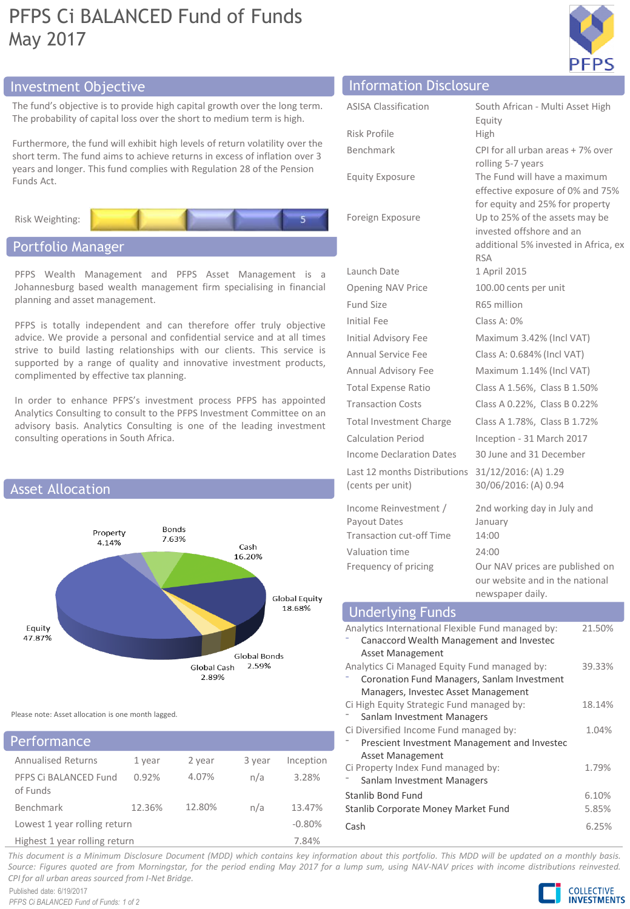## PFPS Ci BALANCED Fund of Funds May 2017



## Investment Objective Information Disclosure Info

The fund's objective is to provide high capital growth over the long term. The probability of capital loss over the short to medium term is high.

Furthermore, the fund will exhibit high levels of return volatility over the short term. The fund aims to achieve returns in excess of inflation over 3 years and longer. This fund complies with Regulation 28 of the Pension Funds Act.



## Portfolio Manager

PFPS Wealth Management and PFPS Asset Management is a Johannesburg based wealth management firm specialising in financial planning and asset management.

PFPS is totally independent and can therefore offer truly objective advice. We provide a personal and confidential service and at all times strive to build lasting relationships with our clients. This service is supported by a range of quality and innovative investment products, complimented by effective tax planning.

In order to enhance PFPS's investment process PFPS has appointed Analytics Consulting to consult to the PFPS Investment Committee on an advisory basis. Analytics Consulting is one of the leading investment consulting operations in South Africa.



Please note: Asset allocation is one month lagged.

| Performance                       |        |        |          |           |
|-----------------------------------|--------|--------|----------|-----------|
| <b>Annualised Returns</b>         | 1 year | 2 year | 3 year   | Inception |
| PFPS Ci BALANCED Fund<br>of Funds | 0.92%  | 4.07%  | n/a      | 3.28%     |
| Benchmark                         | 12.36% | 12.80% | n/a      | 13.47%    |
| Lowest 1 year rolling return      |        |        | $-0.80%$ |           |
| Highest 1 year rolling return     |        |        | 7.84%    |           |

| Information Disclosure                                                                     |                                                                                                                  |
|--------------------------------------------------------------------------------------------|------------------------------------------------------------------------------------------------------------------|
| <b>ASISA Classification</b>                                                                | South African - Multi Asset High<br>Equity                                                                       |
| Risk Profile                                                                               | High                                                                                                             |
| <b>Benchmark</b>                                                                           | CPI for all urban areas + 7% over<br>rolling 5-7 years                                                           |
| <b>Equity Exposure</b>                                                                     | The Fund will have a maximum<br>effective exposure of 0% and 75%<br>for equity and 25% for property              |
| Foreign Exposure                                                                           | Up to 25% of the assets may be<br>invested offshore and an<br>additional 5% invested in Africa, ex<br><b>RSA</b> |
| Launch Date                                                                                | 1 April 2015                                                                                                     |
| <b>Opening NAV Price</b>                                                                   | 100.00 cents per unit                                                                                            |
| Fund Size                                                                                  | R65 million                                                                                                      |
| Initial Fee                                                                                | Class A: 0%                                                                                                      |
| Initial Advisory Fee                                                                       | Maximum 3.42% (Incl VAT)                                                                                         |
| Annual Service Fee                                                                         | Class A: 0.684% (Incl VAT)                                                                                       |
| Annual Advisory Fee                                                                        | Maximum 1.14% (Incl VAT)                                                                                         |
| <b>Total Expense Ratio</b>                                                                 | Class A 1.56%, Class B 1.50%                                                                                     |
| <b>Transaction Costs</b>                                                                   | Class A 0.22%, Class B 0.22%                                                                                     |
| <b>Total Investment Charge</b>                                                             | Class A 1.78%, Class B 1.72%                                                                                     |
| Calculation Period                                                                         | Inception - 31 March 2017                                                                                        |
| Income Declaration Dates                                                                   | 30 June and 31 December                                                                                          |
| Last 12 months Distributions<br>(cents per unit)                                           | 31/12/2016: (A) 1.29<br>30/06/2016: (A) 0.94                                                                     |
| Income Reinvestment /<br>Payout Dates<br><b>Transaction cut-off Time</b><br>Valuation time | 2nd working day in July and<br>January<br>14:00<br>24:00                                                         |

| Frequency of pricing                                                                                                                         | Our NAV prices are published on<br>our website and in the national<br>newspaper daily. |        |  |  |
|----------------------------------------------------------------------------------------------------------------------------------------------|----------------------------------------------------------------------------------------|--------|--|--|
| <b>Underlying Funds</b>                                                                                                                      |                                                                                        |        |  |  |
| Analytics International Flexible Fund managed by:<br>Canaccord Wealth Management and Investec<br>Asset Management                            |                                                                                        | 21.50% |  |  |
| Analytics Ci Managed Equity Fund managed by:<br>39.33%<br>Coronation Fund Managers, Sanlam Investment<br>Managers, Investec Asset Management |                                                                                        |        |  |  |
| Ci High Equity Strategic Fund managed by:<br>18.14%<br>Sanlam Investment Managers                                                            |                                                                                        |        |  |  |
| Ci Diversified Income Fund managed by:<br>Asset Management                                                                                   | Prescient Investment Management and Investec                                           | 1.04%  |  |  |
| Ci Property Index Fund managed by:<br>Sanlam Investment Managers                                                                             |                                                                                        | 1.79%  |  |  |
| Stanlib Bond Fund<br>Stanlib Corporate Money Market Fund                                                                                     | 6.10%<br>5.85%                                                                         |        |  |  |
| Cash                                                                                                                                         |                                                                                        | 6.25%  |  |  |

This document is a Minimum Disclosure Document (MDD) which contains key information about this portfolio. This MDD will be updated on a monthly basis. Source: Figures quoted are from Morningstar, for the period ending May 2017 for a lump sum, using NAV-NAV prices with income distributions reinvested. *CPI for all urban areas sourced from I-Net Bridge.*

Published date: 6/19/2017 *PFPS Ci BALANCED Fund of Funds: 1 of 2*